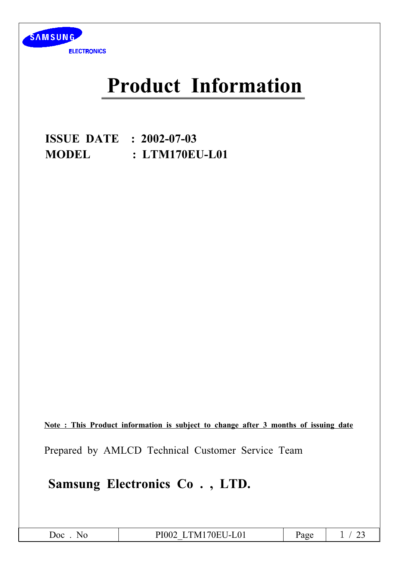

# **Product Information**

**ISSUE DATE : 2002-07-03 MODEL** : LTM170EU-L01

Note: This Product information is subject to change after 3 months of issuing date

Prepared by AMLCD Technical Customer Service Team

Samsung Electronics Co., LTD.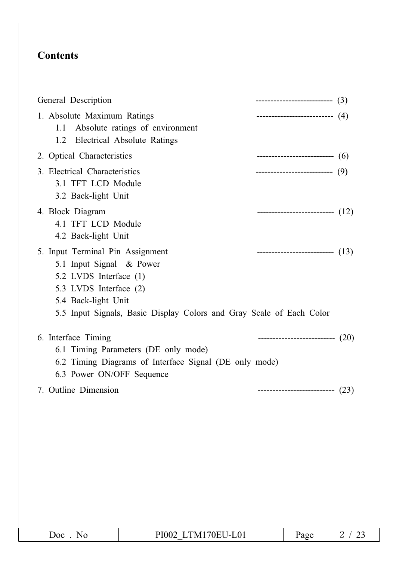# **Contents**

| General Description                                                                                                                                                                                             | --------------------------- (3)      |  |
|-----------------------------------------------------------------------------------------------------------------------------------------------------------------------------------------------------------------|--------------------------------------|--|
| 1. Absolute Maximum Ratings<br>Absolute ratings of environment<br>1.1<br>Electrical Absolute Ratings<br>1.2                                                                                                     | -------------------------- (4)       |  |
| 2. Optical Characteristics                                                                                                                                                                                      | -------------------------------- (6) |  |
| 3. Electrical Characteristics<br>3.1 TFT LCD Module<br>3.2 Back-light Unit                                                                                                                                      | ---------------------------(9)       |  |
| 4. Block Diagram<br>4.1 TFT LCD Module<br>4.2 Back-light Unit                                                                                                                                                   | ----------------------------- $(12)$ |  |
| 5. Input Terminal Pin Assignment<br>5.1 Input Signal & Power<br>5.2 LVDS Interface (1)<br>5.3 LVDS Interface (2)<br>5.4 Back-light Unit<br>5.5 Input Signals, Basic Display Colors and Gray Scale of Each Color | ---------------------------- $(13)$  |  |
| 6. Interface Timing<br>6.1 Timing Parameters (DE only mode)<br>6.2 Timing Diagrams of Interface Signal (DE only mode)<br>6.3 Power ON/OFF Sequence                                                              | ---------------------------- (20)    |  |
| 7. Outline Dimension                                                                                                                                                                                            | ----------------------------(23)     |  |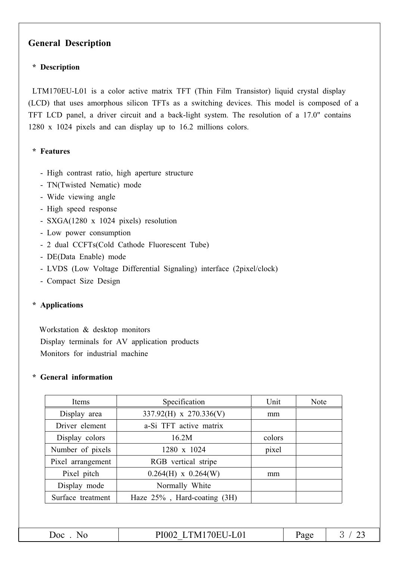## **General Description**

### \* Description

LTM170EU-L01 is a color active matrix TFT (Thin Film Transistor) liquid crystal display (LCD) that uses amorphous silicon TFTs as a switching devices. This model is composed of a TFT LCD panel, a driver circuit and a back-light system. The resolution of a 17.0" contains 1280 x 1024 pixels and can display up to 16.2 millions colors.

### \* Features

- High contrast ratio, high aperture structure
- TN(Twisted Nematic) mode
- Wide viewing angle
- High speed response
- SXGA(1280 x 1024 pixels) resolution
- Low power consumption
- 2 dual CCFTs(Cold Cathode Fluorescent Tube)
- DE(Data Enable) mode
- LVDS (Low Voltage Differential Signaling) interface (2pixel/clock)
- Compact Size Design

### \* Applications

Workstation & desktop monitors Display terminals for AV application products Monitors for industrial machine

### \* General information

| Items             | Specification               | Unit   | Note |
|-------------------|-----------------------------|--------|------|
| Display area      | 337.92(H) x 270.336(V)      | mm     |      |
| Driver element    | a-Si TFT active matrix      |        |      |
| Display colors    | 16.2M                       | colors |      |
| Number of pixels  | 1280 x 1024                 | pixel  |      |
| Pixel arrangement | RGB vertical stripe         |        |      |
| Pixel pitch       | $0.264(H)$ x $0.264(W)$     | mm     |      |
| Display mode      | Normally White              |        |      |
| Surface treatment | Haze 25%, Hard-coating (3H) |        |      |

Doc. No

PI002 LTM170EU-L01

Page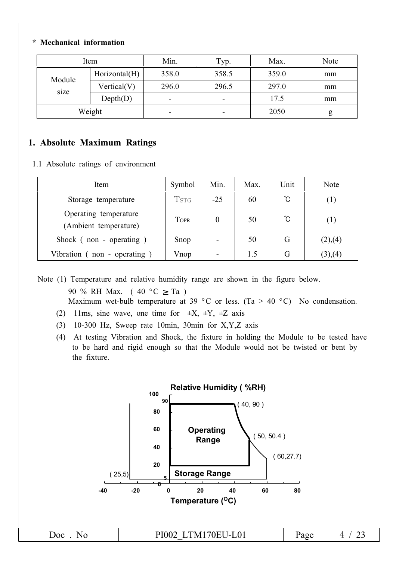### \* Mechanical information

| Item   |               | Min.                     | Typ.                     | Max.  | Note |
|--------|---------------|--------------------------|--------------------------|-------|------|
| Module | Horizontal(H) | 358.0                    | 358.5                    | 359.0 | mm   |
| size   | Vertical(V)   | 296.0                    | 296.5                    | 297.0 | mm   |
|        | Depth(D)      | $\qquad \qquad$          | $\overline{\phantom{0}}$ | 17.5  | mm   |
| Weight |               | $\overline{\phantom{0}}$ | $\overline{\phantom{0}}$ | 2050  | g    |

### 1. Absolute Maximum Ratings

1.1 Absolute ratings of environment

| Item                                           | Symbol                  | Min.  | Max. | Unit | Note    |
|------------------------------------------------|-------------------------|-------|------|------|---------|
| Storage temperature                            | <b>T</b> <sub>STG</sub> | $-25$ | 60   | ℃    | (1)     |
| Operating temperature<br>(Ambient temperature) | <b>TOPR</b>             | 0     | 50   | Ĉ    | (1)     |
| Shock (non - operating)                        | Snop                    |       | 50   | G    | (2),(4) |
| Vibration $($ non - operating $)$              | Vnop                    |       | 1.5  | G    | (3),(4) |

Note (1) Temperature and relative humidity range are shown in the figure below. 90 % RH Max.  $(40 °C > Ta)$ 

Maximum wet-bulb temperature at 39 °C or less. (Ta > 40 °C) No condensation.

- (2) 11ms, sine wave, one time for  $\pm X$ ,  $\pm Y$ ,  $\pm Z$  axis
- $(3)$  10-300 Hz, Sweep rate 10min, 30min for X, Y, Z axis
- (4) At testing Vibration and Shock, the fixture in holding the Module to be tested have to be hard and rigid enough so that the Module would not be twisted or bent by the fixture.

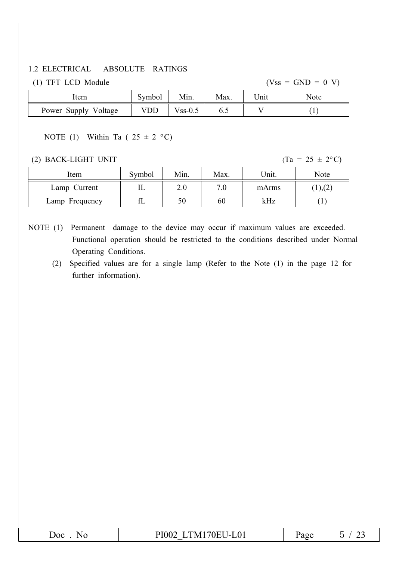### 1.2 ELECTRICAL ABSOLUTE RATINGS

(1) TFT LCD Module

 $(Vss = GND = 0 V)$ 

| Item                 | Symbol | Min.      | Max. | . nıt | Note |
|----------------------|--------|-----------|------|-------|------|
| Power Supply Voltage | VDD    | $Vss-0.5$ | 0.J  |       |      |

# NOTE (1) Within Ta ( $25 \pm 2$  °C)

(2) BACK-LIGHT UNIT

 $(Ta = 25 \pm 2^{\circ}C)$ 

| Item           | Symbol | Min.    | Max. | Unit. | Note          |
|----------------|--------|---------|------|-------|---------------|
| Lamp Current   | ட      | $2.0\,$ | 7.0  | mArms | $(1)$ , $(2)$ |
| Lamp Frequency |        | 50      | 60   | kHz   |               |

NOTE (1) Permanent damage to the device may occur if maximum values are exceeded. Functional operation should be restricted to the conditions described under Normal Operating Conditions.

(2) Specified values are for a single lamp (Refer to the Note (1) in the page 12 for further information).

| Doc<br>NO | 4170EU-L01<br>PI002<br>I`M 1 | Page |  |
|-----------|------------------------------|------|--|
|-----------|------------------------------|------|--|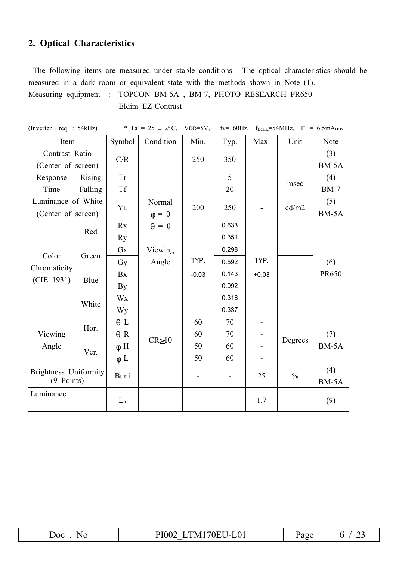# 2. Optical Characteristics

The following items are measured under stable conditions. The optical characteristics should be measured in a dark room or equivalent state with the methods shown in Note (1). Measuring equipment : TOPCON BM-5A, BM-7, PHOTO RESEARCH PR650 Eldim EZ-Contrast

| (Inverter Freq.: 54kHz)                    |         |            | * Ta = $25 \pm 2$ °C, VDD=5V, |         |       |                          | $fv=60 Hz$ , $f_{DCLK}=54 MHz$ , $IL=6.5 mA$ rms |              |
|--------------------------------------------|---------|------------|-------------------------------|---------|-------|--------------------------|--------------------------------------------------|--------------|
| Item                                       |         | Symbol     | Condition                     | Min.    | Typ.  | Max.                     | Unit                                             | Note         |
| Contrast Ratio<br>(Center of screen)       |         | C/R        |                               | 250     | 350   |                          |                                                  | (3)<br>BM-5A |
| Response                                   | Rising  | <b>Tr</b>  |                               |         | 5     |                          |                                                  | (4)          |
| Time                                       | Falling | <b>Tf</b>  |                               |         | 20    |                          | msec                                             | $BM-7$       |
| Luminance of White<br>(Center of screen)   |         | YL         | Normal<br>$\phi = 0$          | 200     | 250   | $\overline{\phantom{a}}$ | cd/m2                                            | (5)<br>BM-5A |
|                                            | Red     | Rx         | $\theta = 0$                  |         | 0.633 |                          |                                                  |              |
|                                            |         | <b>Ry</b>  |                               |         | 0.351 |                          |                                                  |              |
| Color                                      | Green   | Gx         | Viewing                       |         | 0.298 |                          |                                                  |              |
| Chromaticity<br>(CIE 1931)                 |         | Gy         | Angle                         | TYP.    | 0.592 | TYP.                     |                                                  | (6)          |
|                                            | Blue    | Bx         |                               | $-0.03$ | 0.143 | $+0.03$                  |                                                  | PR650        |
|                                            |         | By         |                               |         | 0.092 |                          |                                                  |              |
|                                            | White   | Wx         |                               |         | 0.316 |                          |                                                  |              |
|                                            |         | <b>Wy</b>  |                               |         | 0.337 |                          |                                                  |              |
| Viewing<br>Angle                           | Hor.    | $\theta$ L |                               | 60      | 70    | $\blacksquare$           |                                                  |              |
|                                            |         | $\theta$ R | $CR \ge 10$                   | 60      | 70    | $\overline{\phantom{a}}$ |                                                  | (7)          |
|                                            | Ver.    | $\phi$ H   |                               | 50      | 60    |                          | Degrees                                          | BM-5A        |
|                                            |         | $\phi$ L   |                               | 50      | 60    |                          |                                                  |              |
| <b>Brightness Uniformity</b><br>(9 Points) |         | Buni       |                               | -       | -     | 25                       | $\frac{0}{0}$                                    | (4)<br>BM-5A |
| Luminance                                  |         | $L_{R}$    |                               |         |       | 1.7                      |                                                  | (9)          |

PI002 LTM170EU-L01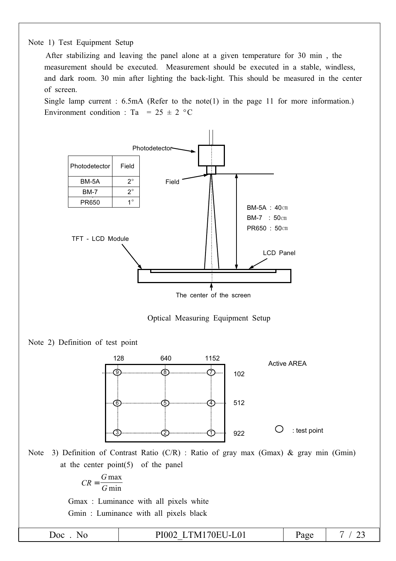

After stabilizing and leaving the panel alone at a given temperature for 30 min, the measurement should be executed. Measurement should be executed in a stable, windless, and dark room. 30 min after lighting the back-light. This should be measured in the center of screen.

Single lamp current :  $6.5mA$  (Refer to the note(1) in the page 11 for more information.) Environment condition : Ta = 25  $\pm$  2 °C







Note 3) Definition of Contrast Ratio (C/R) : Ratio of gray max (Gmax) & gray min (Gmin) at the center point $(5)$  of the panel

$$
CR = \frac{G \max}{G \min}
$$

Gmax: Luminance with all pixels white Gmin: Luminance with all pixels black

Doc. No

PI002 LTM170EU-L01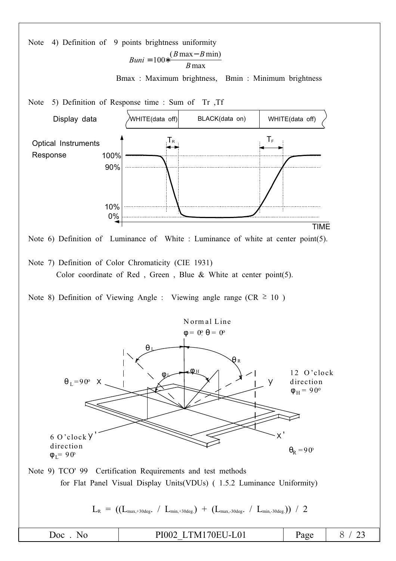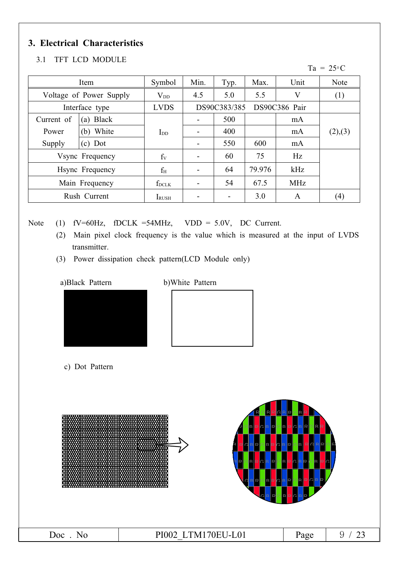# 3. Electrical Characteristics

### 3.1 TFT LCD MODULE

Ta =  $25^{\circ}$ C

| Item                          |                 | Symbol       | Min.         | Typ. | Max.   | Unit       | <b>Note</b> |
|-------------------------------|-----------------|--------------|--------------|------|--------|------------|-------------|
| Voltage of Power Supply       |                 | $V_{DD}$     | 4.5          | 5.0  | 5.5    | V          | (1)         |
| Interface type<br><b>LVDS</b> |                 |              | DS90C383/385 |      |        |            |             |
| Current of                    | Black<br>(a)    |              |              | 500  |        | mA         |             |
| Power                         | White<br>(b)    | $I_{DD}$     |              | 400  |        | mA         | (2),(3)     |
| Supply                        | Dot<br>(c)      |              |              | 550  | 600    | mA         |             |
| Vsync Frequency               |                 | $f_V$        |              | 60   | 75     | Hz         |             |
|                               | Hsync Frequency | $f_{\rm H}$  |              | 64   | 79.976 | kHz        |             |
| Main Frequency                |                 | $f_{DCLK}$   |              | 54   | 67.5   | <b>MHz</b> |             |
|                               | Rush Current    | <b>IRUSH</b> |              |      | 3.0    | A          | (4)         |

Note

(1)  $fV=60Hz$ ,  $fDCLK = 54MHz$ ,  $VDD = 5.0V$ , DC Current.

- (2) Main pixel clock frequency is the value which is measured at the input of LVDS transmitter.
- (3) Power dissipation check pattern(LCD Module only)

a)Black Pattern

b) White Pattern





c) Dot Pattern





| __ |
|----|
|----|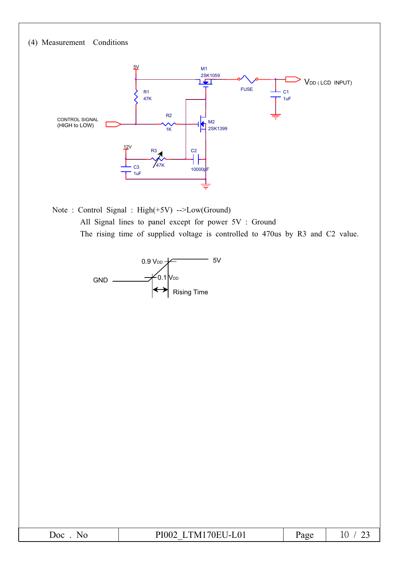

Note: Control Signal: High(+5V) -->Low(Ground) All Signal lines to panel except for power 5V : Ground The rising time of supplied voltage is controlled to 470us by R3 and C2 value.



| ഹ | $\mathbf{A} = \mathbf{A} + \mathbf{A} + \mathbf{A}$<br>$^{\prime\prime}$ N $_{\prime\prime}$ | $\sim$<br>aν | $\sim$ |
|---|----------------------------------------------------------------------------------------------|--------------|--------|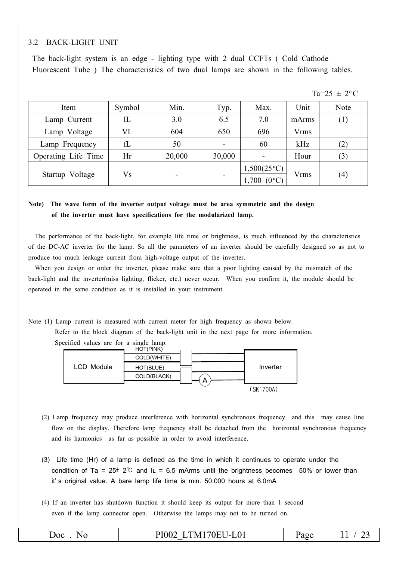#### **BACK-LIGHT UNIT**  $3.2$

The back-light system is an edge - lighting type with 2 dual CCFTs (Cold Cathode Fluorescent Tube) The characteristics of two dual lamps are shown in the following tables.

|                     |        |                          |                          |                          |             | Ta=25 $\pm$ 2°C |
|---------------------|--------|--------------------------|--------------------------|--------------------------|-------------|-----------------|
| Item                | Symbol | Min.                     | Typ.                     | Max.                     | Unit        | <b>Note</b>     |
| Lamp Current        | IL     | 3.0                      | 6.5                      | 7.0                      | mArms       | (1)             |
| Lamp Voltage        | VL     | 604                      | 650                      | 696                      | Vrms        |                 |
| Lamp Frequency      | fL     | 50                       |                          | 60                       | kHz         | (2)             |
| Operating Life Time | Hr     | 20,000                   | 30,000                   |                          | Hour        | (3)             |
| Startup Voltage     | Vs     | $\overline{\phantom{a}}$ | $\overline{\phantom{0}}$ | $1,500(25\textdegree C)$ | <b>Vrms</b> | (4)             |
|                     |        |                          |                          | $(0^{\circ}C)$<br>1,700  |             |                 |

### Note) The wave form of the inverter output voltage must be area symmetric and the design of the inverter must have specifications for the modularized lamp.

The performance of the back-light, for example life time or brightness, is much influenced by the characteristics of the DC-AC inverter for the lamp. So all the parameters of an inverter should be carefully designed so as not to produce too much leakage current from high-voltage output of the inverter.

When you design or order the inverter, please make sure that a poor lighting caused by the mismatch of the back-light and the inverter(miss lighting, flicker, etc.) never occur. When you confirm it, the module should be operated in the same condition as it is installed in your instrument.

Note (1) Lamp current is measured with current meter for high frequency as shown below.

Refer to the block diagram of the back-light unit in the next page for more information. Specified values are for a single lamp.



(2) Lamp frequency may produce interference with horizontal synchronous frequency and this may cause line flow on the display. Therefore lamp frequency shall be detached from the horizontal synchronous frequency and its harmonics as far as possible in order to avoid interference.

(3) Life time (Hr) of a lamp is defined as the time in which it continues to operate under the condition of Ta =  $25\pm 2^{\circ}$  and IL = 6.5 mArms until the brightness becomes 50% or lower than it's original value. A bare lamp life time is min. 50,000 hours at 6.0mA

(4) If an inverter has shutdown function it should keep its output for more than 1 second even if the lamp connector open. Otherwise the lamps may not to be turned on.

| JOC.<br>◥ | 170E11I<br>$\sim$ $\sim$<br>PIAA′<br>'N.<br>$\mathbf{u}$<br>ı<br>``<br>. <i>.</i> .<br>$\sim$ $\sim$ $\sim$<br>. | age | <u>_</u><br>—— |
|-----------|------------------------------------------------------------------------------------------------------------------|-----|----------------|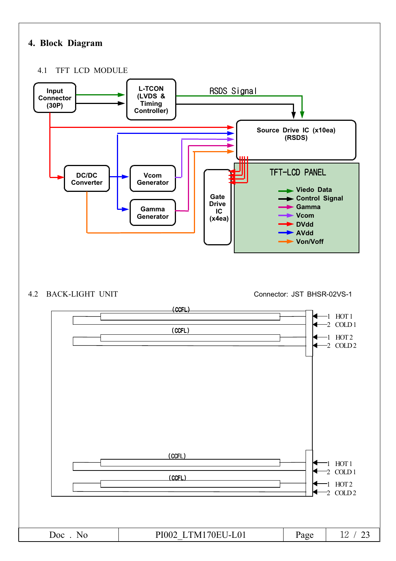# 4. Block Diagram

#### TFT LCD MODULE  $4.1$



### 4.2 BACK-LIGHT UNIT

Connector: JST BHSR-02VS-1

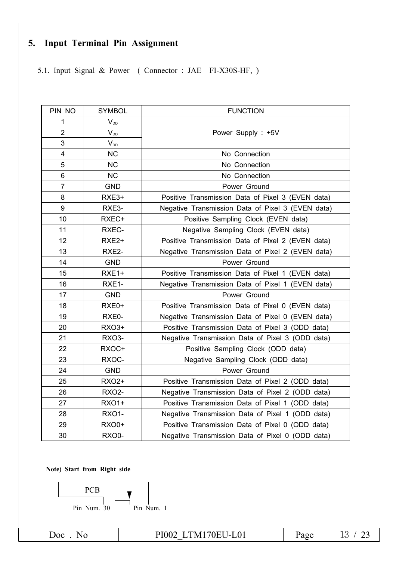# 5. Input Terminal Pin Assignment

5.1. Input Signal & Power (Connector: JAE FI-X30S-HF, )

| PIN NO         | <b>SYMBOL</b>     | <b>FUNCTION</b>                                   |
|----------------|-------------------|---------------------------------------------------|
| 1              | $V_{DD}$          |                                                   |
| $\overline{2}$ | $V_{DD}$          | Power Supply: +5V                                 |
| 3              | $V_{DD}$          |                                                   |
| $\overline{4}$ | <b>NC</b>         | No Connection                                     |
| 5              | <b>NC</b>         | No Connection                                     |
| 6              | <b>NC</b>         | No Connection                                     |
| $\overline{7}$ | <b>GND</b>        | Power Ground                                      |
| 8              | RXE3+             | Positive Transmission Data of Pixel 3 (EVEN data) |
| 9              | RXE3-             | Negative Transmission Data of Pixel 3 (EVEN data) |
| 10             | RXEC+             | Positive Sampling Clock (EVEN data)               |
| 11             | RXEC-             | Negative Sampling Clock (EVEN data)               |
| 12             | RXE <sub>2+</sub> | Positive Transmission Data of Pixel 2 (EVEN data) |
| 13             | RXE2-             | Negative Transmission Data of Pixel 2 (EVEN data) |
| 14             | <b>GND</b>        | Power Ground                                      |
| 15             | RXE1+             | Positive Transmission Data of Pixel 1 (EVEN data) |
| 16             | RXE1-             | Negative Transmission Data of Pixel 1 (EVEN data) |
| 17             | <b>GND</b>        | Power Ground                                      |
| 18             | RXE0+             | Positive Transmission Data of Pixel 0 (EVEN data) |
| 19             | RXE0-             | Negative Transmission Data of Pixel 0 (EVEN data) |
| 20             | <b>RXO3+</b>      | Positive Transmission Data of Pixel 3 (ODD data)  |
| 21             | <b>RXO3-</b>      | Negative Transmission Data of Pixel 3 (ODD data)  |
| 22             | RXOC+             | Positive Sampling Clock (ODD data)                |
| 23             | RXOC-             | Negative Sampling Clock (ODD data)                |
| 24             | <b>GND</b>        | Power Ground                                      |
| 25             | <b>RXO2+</b>      | Positive Transmission Data of Pixel 2 (ODD data)  |
| 26             | <b>RXO2-</b>      | Negative Transmission Data of Pixel 2 (ODD data)  |
| 27             | <b>RXO1+</b>      | Positive Transmission Data of Pixel 1 (ODD data)  |
| 28             | <b>RXO1-</b>      | Negative Transmission Data of Pixel 1 (ODD data)  |
| 29             | <b>RXO0+</b>      | Positive Transmission Data of Pixel 0 (ODD data)  |
| 30             | <b>RXO0-</b>      | Negative Transmission Data of Pixel 0 (ODD data)  |

Note) Start from Right side



Doc. No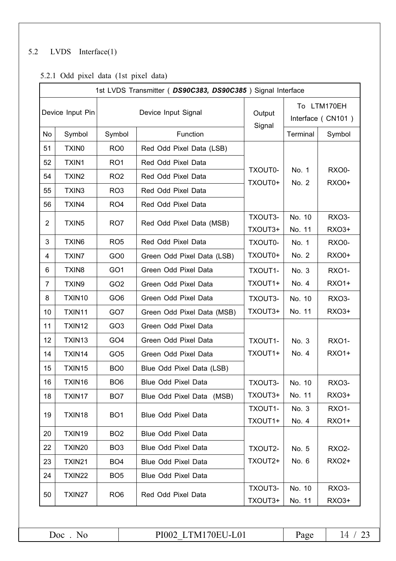#### $LVDS$  Interface(1)  $5.2$

# 5.2.1 Odd pixel data (1st pixel data)

|                | 1st LVDS Transmitter (DS90C383, DS90C385) Signal Interface |                 |                            |                    |                   |                       |  |  |  |  |  |  |  |
|----------------|------------------------------------------------------------|-----------------|----------------------------|--------------------|-------------------|-----------------------|--|--|--|--|--|--|--|
|                | Device Input Pin                                           |                 | Device Input Signal        | Output             | To LTM170EH       |                       |  |  |  |  |  |  |  |
|                |                                                            |                 |                            | Signal             | Interface (CN101) |                       |  |  |  |  |  |  |  |
| No             | Symbol                                                     | Symbol          | Function                   |                    | Terminal          | Symbol                |  |  |  |  |  |  |  |
| 51             | <b>TXINO</b>                                               | RO <sub>0</sub> | Red Odd Pixel Data (LSB)   |                    |                   |                       |  |  |  |  |  |  |  |
| 52             | TXIN1                                                      | RO <sub>1</sub> | Red Odd Pixel Data         |                    |                   |                       |  |  |  |  |  |  |  |
| 54             | TXIN <sub>2</sub>                                          | RO <sub>2</sub> | Red Odd Pixel Data         | TXOUT0-<br>TXOUT0+ | No. 1<br>No. 2    | RXO0-<br><b>RXO0+</b> |  |  |  |  |  |  |  |
| 55             | TXIN3                                                      | RO <sub>3</sub> | Red Odd Pixel Data         |                    |                   |                       |  |  |  |  |  |  |  |
| 56             | TXIN4                                                      | RO <sub>4</sub> | Red Odd Pixel Data         |                    |                   |                       |  |  |  |  |  |  |  |
| $\overline{2}$ | TXIN <sub>5</sub>                                          | RO7             | Red Odd Pixel Data (MSB)   | TXOUT3-<br>TXOUT3+ | No. 10<br>No. 11  | RXO3-<br>RX03+        |  |  |  |  |  |  |  |
| 3              | TXIN6                                                      | RO <sub>5</sub> | Red Odd Pixel Data         | TXOUT0-            | No. 1             | <b>RXO0-</b>          |  |  |  |  |  |  |  |
| 4              | TXIN7                                                      | GO <sub>0</sub> | Green Odd Pixel Data (LSB) | TXOUT0+            | No. 2             | <b>RXO0+</b>          |  |  |  |  |  |  |  |
| 6              | TXIN <sub>8</sub>                                          | GO <sub>1</sub> | Green Odd Pixel Data       | TXOUT1-            | No. 3             | <b>RXO1-</b>          |  |  |  |  |  |  |  |
| 7              | TXIN9                                                      | GO <sub>2</sub> | Green Odd Pixel Data       | TXOUT1+            | No. 4             | <b>RXO1+</b>          |  |  |  |  |  |  |  |
| 8              | TXIN10                                                     | GO <sub>6</sub> | Green Odd Pixel Data       | TXOUT3-            | No. 10            | RXO3-                 |  |  |  |  |  |  |  |
| 10             | TXIN11                                                     | GO7             | Green Odd Pixel Data (MSB) | TXOUT3+            | No. 11            | RX03+                 |  |  |  |  |  |  |  |
| 11             | TXIN12                                                     | GO <sub>3</sub> | Green Odd Pixel Data       |                    |                   |                       |  |  |  |  |  |  |  |
| 12             | TXIN13                                                     | GO <sub>4</sub> | Green Odd Pixel Data       | TXOUT1-            | No. 3             | <b>RXO1-</b>          |  |  |  |  |  |  |  |
| 14             | TXIN14                                                     | GO <sub>5</sub> | Green Odd Pixel Data       | TXOUT1+            | No. 4             | <b>RXO1+</b>          |  |  |  |  |  |  |  |
| 15             | TXIN15                                                     | BO <sub>0</sub> | Blue Odd Pixel Data (LSB)  |                    |                   |                       |  |  |  |  |  |  |  |
| 16             | TXIN16                                                     | BO <sub>6</sub> | Blue Odd Pixel Data        | TXOUT3-            | No. 10            | RXO3-                 |  |  |  |  |  |  |  |
| 18             | TXIN17                                                     | BO <sub>7</sub> | Blue Odd Pixel Data (MSB)  | TXOUT3+            | No. 11            | <b>RXO3+</b>          |  |  |  |  |  |  |  |
| 19             | TXIN18                                                     | BO <sub>1</sub> | <b>Blue Odd Pixel Data</b> | TXOUT1-            | No. 3             | <b>RXO1-</b>          |  |  |  |  |  |  |  |
| 20             | TXIN19                                                     | BO <sub>2</sub> | <b>Blue Odd Pixel Data</b> | TXOUT1+            | No. 4             | <b>RXO1+</b>          |  |  |  |  |  |  |  |
| 22             | TXIN20                                                     | BO <sub>3</sub> | <b>Blue Odd Pixel Data</b> | TXOUT2-            | No. 5             | <b>RXO2-</b>          |  |  |  |  |  |  |  |
| 23             | <b>TXIN21</b>                                              | BO <sub>4</sub> | <b>Blue Odd Pixel Data</b> | TXOUT2+            | No. 6             | RX02+                 |  |  |  |  |  |  |  |
| 24             | <b>TXIN22</b>                                              | BO <sub>5</sub> | Blue Odd Pixel Data        |                    |                   |                       |  |  |  |  |  |  |  |
| 50             | TXIN27                                                     | RO <sub>6</sub> | Red Odd Pixel Data         | TXOUT3-<br>TXOUT3+ | No. 10<br>No. 11  | RXO3-<br>RX03+        |  |  |  |  |  |  |  |
|                |                                                            |                 |                            |                    |                   |                       |  |  |  |  |  |  |  |

| PI002 LTM170EU-L01 | Page | 14/23 |
|--------------------|------|-------|
|                    |      |       |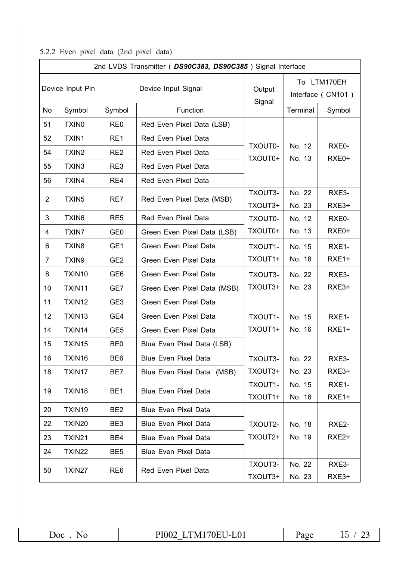|                | 2nd LVDS Transmitter (DS90C383, DS90C385) Signal Interface |                 |                             |                    |                                  |                             |  |  |  |  |  |  |  |
|----------------|------------------------------------------------------------|-----------------|-----------------------------|--------------------|----------------------------------|-----------------------------|--|--|--|--|--|--|--|
|                | Device Input Pin                                           |                 | Device Input Signal         | Output<br>Signal   | To LTM170EH<br>Interface (CN101) |                             |  |  |  |  |  |  |  |
| No             | Symbol                                                     | Symbol          | Function                    |                    | Terminal                         | Symbol                      |  |  |  |  |  |  |  |
| 51             | TXIN <sub>0</sub>                                          | RE <sub>0</sub> | Red Even Pixel Data (LSB)   |                    |                                  |                             |  |  |  |  |  |  |  |
| 52             | TXIN1                                                      | RE1             | Red Even Pixel Data         |                    |                                  |                             |  |  |  |  |  |  |  |
| 54             | TXIN <sub>2</sub>                                          | RE <sub>2</sub> | Red Even Pixel Data         | TXOUT0-<br>TXOUT0+ | No. 12<br>No. 13                 | RXE0-<br>RXE <sub>0</sub> + |  |  |  |  |  |  |  |
| 55             | TXIN3                                                      | RE3             | Red Even Pixel Data         |                    |                                  |                             |  |  |  |  |  |  |  |
| 56             | TXIN4                                                      | RE4             | Red Even Pixel Data         |                    |                                  |                             |  |  |  |  |  |  |  |
| $\overline{c}$ | TXIN <sub>5</sub>                                          | RE7             | Red Even Pixel Data (MSB)   | TXOUT3-            | No. 22                           | RXE3-                       |  |  |  |  |  |  |  |
|                |                                                            |                 |                             | TXOUT3+            | No. 23                           | RXE3+                       |  |  |  |  |  |  |  |
| 3              | TXIN <sub>6</sub>                                          | RE <sub>5</sub> | Red Even Pixel Data         | TXOUT0-            | No. 12                           | RXE0-                       |  |  |  |  |  |  |  |
| 4              | TXIN7                                                      | GE <sub>0</sub> | Green Even Pixel Data (LSB) | TXOUT0+            | No. 13                           | RXE <sub>0</sub> +          |  |  |  |  |  |  |  |
| 6              | TXIN8                                                      | GE1             | Green Even Pixel Data       | TXOUT1-            | No. 15                           | RXE1-                       |  |  |  |  |  |  |  |
| 7              | TXIN9                                                      | GE <sub>2</sub> | Green Even Pixel Data       | TXOUT1+            | No. 16                           | RXE1+                       |  |  |  |  |  |  |  |
| 8              | TXIN10                                                     | GE <sub>6</sub> | Green Even Pixel Data       | TXOUT3-            | No. 22                           | RXE3-                       |  |  |  |  |  |  |  |
| 10             | TXIN11                                                     | GE7             | Green Even Pixel Data (MSB) | TXOUT3+            | No. 23                           | RXE3+                       |  |  |  |  |  |  |  |
| 11             | TXIN12                                                     | GE <sub>3</sub> | Green Even Pixel Data       |                    |                                  |                             |  |  |  |  |  |  |  |
| 12             | TXIN13                                                     | GE4             | Green Even Pixel Data       | TXOUT1-            | No. 15                           | RXE1-                       |  |  |  |  |  |  |  |
| 14             | TXIN14                                                     | GE <sub>5</sub> | Green Even Pixel Data       | TXOUT1+            | No. 16                           | RXE1+                       |  |  |  |  |  |  |  |
| 15             | TXIN15                                                     | BE <sub>0</sub> | Blue Even Pixel Data (LSB)  |                    |                                  |                             |  |  |  |  |  |  |  |
| 16             | TXIN16                                                     | BE <sub>6</sub> | <b>Blue Even Pixel Data</b> | TXOUT3-            | No. 22                           | RXE3-                       |  |  |  |  |  |  |  |
| 18             | TXIN17                                                     | BE7             | Blue Even Pixel Data (MSB)  | TXOUT3+            | No. 23                           | RXE3+                       |  |  |  |  |  |  |  |
| 19             | TXIN18                                                     | BE <sub>1</sub> | <b>Blue Even Pixel Data</b> | TXOUT1-            | No. 15                           | RXE1-                       |  |  |  |  |  |  |  |
|                |                                                            |                 |                             | TXOUT1+            | No. 16                           | RXE1+                       |  |  |  |  |  |  |  |
| 20             | TXIN19                                                     | BE <sub>2</sub> | <b>Blue Even Pixel Data</b> |                    |                                  |                             |  |  |  |  |  |  |  |
| 22             | TXIN20                                                     | BE3             | <b>Blue Even Pixel Data</b> | TXOUT2-            | No. 18                           | RXE2-                       |  |  |  |  |  |  |  |
| 23             | TXIN21                                                     | BE4             | <b>Blue Even Pixel Data</b> | TXOUT2+            | No. 19                           | RXE <sub>2+</sub>           |  |  |  |  |  |  |  |
| 24             | TXIN22                                                     | BE <sub>5</sub> | <b>Blue Even Pixel Data</b> |                    |                                  |                             |  |  |  |  |  |  |  |
| 50             | RE <sub>6</sub>                                            |                 | Red Even Pixel Data         | TXOUT3-            | No. 22                           | RXE3-                       |  |  |  |  |  |  |  |
| TXIN27         |                                                            |                 |                             | TXOUT3+            | No. 23                           | RXE3+                       |  |  |  |  |  |  |  |

# 5.2.2 Even pixel data (2nd pixel data)

Page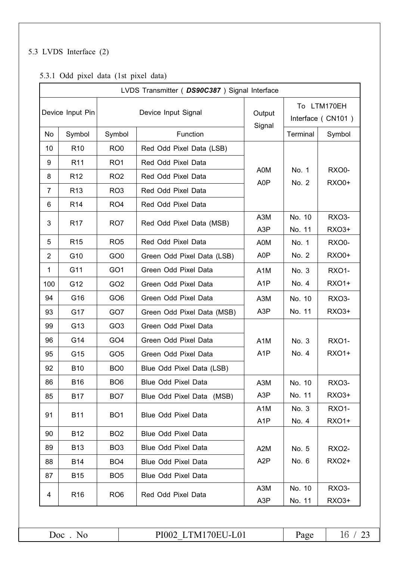# 5.3 LVDS Interface (2)

### 5.3.1 Odd pixel data (1st pixel data)

|                | LVDS Transmitter ( DS90C387 ) Signal Interface |                 |                            |                                      |                                  |                              |  |  |  |  |  |  |
|----------------|------------------------------------------------|-----------------|----------------------------|--------------------------------------|----------------------------------|------------------------------|--|--|--|--|--|--|
|                | Device Input Pin                               |                 | Device Input Signal        | Output<br>Signal                     | To LTM170EH<br>Interface (CN101) |                              |  |  |  |  |  |  |
| No             | Symbol                                         | Symbol          | Function                   |                                      | Terminal                         | Symbol                       |  |  |  |  |  |  |
| 10             | R <sub>10</sub>                                | RO <sub>0</sub> | Red Odd Pixel Data (LSB)   |                                      |                                  |                              |  |  |  |  |  |  |
| 9              | R <sub>11</sub>                                | RO <sub>1</sub> | Red Odd Pixel Data         |                                      |                                  |                              |  |  |  |  |  |  |
| 8              | R <sub>12</sub>                                | RO <sub>2</sub> | Red Odd Pixel Data         | A0M<br>A0P                           | No. 1<br>No. 2                   | <b>RXO0-</b><br><b>RXO0+</b> |  |  |  |  |  |  |
| $\overline{7}$ | R <sub>13</sub>                                | RO <sub>3</sub> | Red Odd Pixel Data         |                                      |                                  |                              |  |  |  |  |  |  |
| 6              | R <sub>14</sub>                                | RO <sub>4</sub> | Red Odd Pixel Data         |                                      |                                  |                              |  |  |  |  |  |  |
| 3              | R <sub>17</sub>                                | RO7             | Red Odd Pixel Data (MSB)   | A3M<br>A <sub>3</sub> P              | No. 10<br>No. 11                 | RXO3-<br>RX03+               |  |  |  |  |  |  |
| 5              | R <sub>15</sub>                                | RO <sub>5</sub> | Red Odd Pixel Data         | A0M                                  | No. 1                            | RXO0-                        |  |  |  |  |  |  |
| $\overline{2}$ | G10                                            | GO <sub>0</sub> | Green Odd Pixel Data (LSB) | A0P                                  | No. 2                            | <b>RXO0+</b>                 |  |  |  |  |  |  |
| $\mathbf{1}$   | G11                                            | GO <sub>1</sub> | Green Odd Pixel Data       | A <sub>1</sub> M                     | No. 3                            | <b>RXO1-</b>                 |  |  |  |  |  |  |
| 100            | G12                                            | GO <sub>2</sub> | Green Odd Pixel Data       | A <sub>1</sub> P                     | No. 4                            | <b>RXO1+</b>                 |  |  |  |  |  |  |
| 94             | G16                                            | GO <sub>6</sub> | Green Odd Pixel Data       | A <sub>3</sub> M                     | No. 10                           | <b>RXO3-</b>                 |  |  |  |  |  |  |
| 93             | G17                                            | GO7             | Green Odd Pixel Data (MSB) | A3P                                  | No. 11                           | RX03+                        |  |  |  |  |  |  |
| 99             | G13                                            | GO <sub>3</sub> | Green Odd Pixel Data       |                                      |                                  |                              |  |  |  |  |  |  |
| 96             | G14                                            | GO <sub>4</sub> | Green Odd Pixel Data       | A <sub>1</sub> M                     | No. 3                            | <b>RXO1-</b>                 |  |  |  |  |  |  |
| 95             | G15                                            | GO <sub>5</sub> | Green Odd Pixel Data       | A <sub>1</sub> P                     | No. 4                            | <b>RXO1+</b>                 |  |  |  |  |  |  |
| 92             | <b>B10</b>                                     | BO <sub>0</sub> | Blue Odd Pixel Data (LSB)  |                                      |                                  |                              |  |  |  |  |  |  |
| 86             | <b>B16</b>                                     | BO <sub>6</sub> | <b>Blue Odd Pixel Data</b> | A3M                                  | No. 10                           | RXO3-                        |  |  |  |  |  |  |
| 85             | <b>B17</b>                                     | BO <sub>7</sub> | Blue Odd Pixel Data (MSB)  | A <sub>3</sub> P                     | No. 11                           | <b>RXO3+</b>                 |  |  |  |  |  |  |
| 91             | <b>B11</b>                                     | BO <sub>1</sub> | <b>Blue Odd Pixel Data</b> | A <sub>1</sub> M<br>A <sub>1</sub> P | No. 3<br>No. 4                   | <b>RXO1-</b><br><b>RXO1+</b> |  |  |  |  |  |  |
| 90             | <b>B12</b>                                     | BO <sub>2</sub> | <b>Blue Odd Pixel Data</b> |                                      |                                  |                              |  |  |  |  |  |  |
| 89             | <b>B13</b>                                     | BO <sub>3</sub> | <b>Blue Odd Pixel Data</b> | A <sub>2</sub> M                     | No. 5                            | <b>RXO2-</b>                 |  |  |  |  |  |  |
| 88             | <b>B14</b>                                     | BO <sub>4</sub> | Blue Odd Pixel Data        | A <sub>2</sub> P                     | No. 6                            | RX02+                        |  |  |  |  |  |  |
| 87             | <b>B15</b>                                     | BO <sub>5</sub> | Blue Odd Pixel Data        |                                      |                                  |                              |  |  |  |  |  |  |
| 4              | R <sub>16</sub>                                | RO <sub>6</sub> | Red Odd Pixel Data         | A3M<br>A3P                           | No. 10<br>No. 11                 | <b>RXO3-</b><br>RX03+        |  |  |  |  |  |  |

Doc. No

PI002\_LTM170EU-L01

Page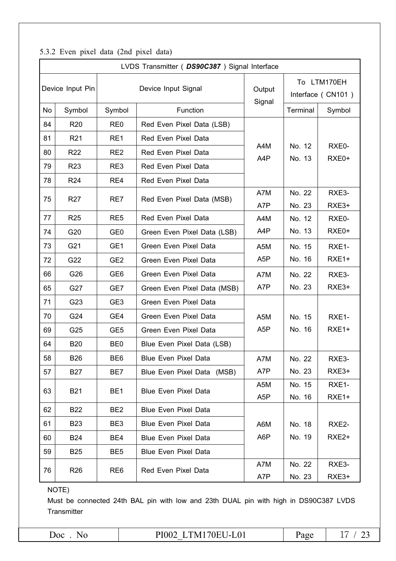|  | 5.3.2 Even pixel data (2nd pixel data) |  |  |  |  |  |
|--|----------------------------------------|--|--|--|--|--|
|--|----------------------------------------|--|--|--|--|--|

|    | LVDS Transmitter ( DS90C387 ) Signal Interface |                                                |                             |                  |                                  |                    |  |  |  |  |  |  |  |
|----|------------------------------------------------|------------------------------------------------|-----------------------------|------------------|----------------------------------|--------------------|--|--|--|--|--|--|--|
|    | Device Input Pin                               |                                                | Device Input Signal         | Output<br>Signal | To LTM170EH<br>Interface (CN101) |                    |  |  |  |  |  |  |  |
| No | Symbol                                         | Symbol                                         | Function                    |                  | Terminal                         | Symbol             |  |  |  |  |  |  |  |
| 84 | R <sub>20</sub>                                | RE <sub>0</sub>                                | Red Even Pixel Data (LSB)   |                  |                                  |                    |  |  |  |  |  |  |  |
| 81 | R <sub>21</sub>                                | RE1                                            | Red Even Pixel Data         |                  |                                  |                    |  |  |  |  |  |  |  |
| 80 | R <sub>22</sub>                                | RE <sub>2</sub>                                | Red Even Pixel Data         | A4M<br>A4P       | No. 12<br>No. 13                 | RXE0-<br>RXE0+     |  |  |  |  |  |  |  |
| 79 | R <sub>23</sub>                                | RE3                                            | Red Even Pixel Data         |                  |                                  |                    |  |  |  |  |  |  |  |
| 78 | R <sub>24</sub>                                | RE4                                            | Red Even Pixel Data         |                  |                                  |                    |  |  |  |  |  |  |  |
| 75 | R <sub>27</sub>                                | RE7                                            | Red Even Pixel Data (MSB)   | A7M              | No. 22                           | RXE3-              |  |  |  |  |  |  |  |
|    |                                                |                                                |                             | A7P              | No. 23                           | RXE3+              |  |  |  |  |  |  |  |
| 77 | R <sub>25</sub>                                | RE <sub>5</sub>                                | Red Even Pixel Data         | A4M              | No. 12                           | RXE0-              |  |  |  |  |  |  |  |
| 74 | G20                                            | GE <sub>0</sub>                                | Green Even Pixel Data (LSB) | A4P              | No. 13                           | RXE <sub>0</sub> + |  |  |  |  |  |  |  |
| 73 | G21                                            | GE1                                            | Green Even Pixel Data       | A <sub>5</sub> M | No. 15                           | RXE1-              |  |  |  |  |  |  |  |
| 72 | G22                                            | GE <sub>2</sub>                                | Green Even Pixel Data       | A <sub>5</sub> P | No. 16                           | RXE1+              |  |  |  |  |  |  |  |
| 66 | G26                                            | GE <sub>6</sub>                                | Green Even Pixel Data       | A7M              | No. 22                           | RXE3-              |  |  |  |  |  |  |  |
| 65 | G27                                            | GE7                                            | Green Even Pixel Data (MSB) | A7P              | No. 23                           | RXE3+              |  |  |  |  |  |  |  |
| 71 | G23                                            | GE <sub>3</sub>                                | Green Even Pixel Data       |                  |                                  |                    |  |  |  |  |  |  |  |
| 70 | G24                                            | GE4                                            | Green Even Pixel Data       | A <sub>5</sub> M | No. 15                           | RXE1-              |  |  |  |  |  |  |  |
| 69 | G25                                            | GE <sub>5</sub>                                | Green Even Pixel Data       | A <sub>5</sub> P | No. 16                           | RXE1+              |  |  |  |  |  |  |  |
| 64 | <b>B20</b>                                     | BE <sub>0</sub>                                | Blue Even Pixel Data (LSB)  |                  |                                  |                    |  |  |  |  |  |  |  |
| 58 | <b>B26</b>                                     | BE <sub>6</sub>                                | <b>Blue Even Pixel Data</b> | A7M              | No. 22                           | RXE3-              |  |  |  |  |  |  |  |
| 57 | <b>B27</b>                                     | BE7                                            | Blue Even Pixel Data (MSB)  | A7P              | No. 23                           | RXE3+              |  |  |  |  |  |  |  |
| 63 | <b>B21</b>                                     | BE <sub>1</sub>                                | <b>Blue Even Pixel Data</b> | A <sub>5</sub> M | No. 15                           | RXE1-              |  |  |  |  |  |  |  |
|    |                                                |                                                |                             | A <sub>5</sub> P | No. 16                           | RXE1+              |  |  |  |  |  |  |  |
| 62 | <b>B22</b>                                     | BE <sub>2</sub>                                | <b>Blue Even Pixel Data</b> |                  |                                  |                    |  |  |  |  |  |  |  |
| 61 | <b>B23</b>                                     | BE <sub>3</sub>                                | <b>Blue Even Pixel Data</b> | A6M              | No. 18                           | RXE2-              |  |  |  |  |  |  |  |
| 60 | <b>B24</b>                                     | BE4                                            | <b>Blue Even Pixel Data</b> |                  | No. 19                           | RXE <sub>2+</sub>  |  |  |  |  |  |  |  |
| 59 | <b>B25</b>                                     | BE <sub>5</sub><br><b>Blue Even Pixel Data</b> |                             |                  |                                  |                    |  |  |  |  |  |  |  |
| 76 | R <sub>26</sub>                                | RE <sub>6</sub>                                | Red Even Pixel Data         | A7M              | No. 22                           | RXE3-              |  |  |  |  |  |  |  |
|    |                                                |                                                |                             | A7P              | No. 23                           | RXE3+              |  |  |  |  |  |  |  |

NOTE)

Must be connected 24th BAL pin with low and 23th DUAL pin with high in DS90C387 LVDS Transmitter

 $Doc . No$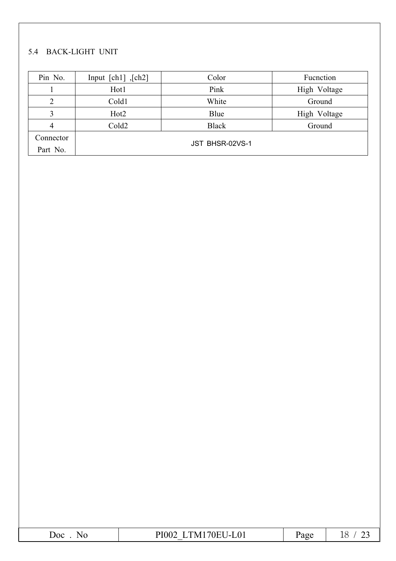# 5.4 BACK-LIGHT UNIT

| Pin No.   | Input $[ch1]$ , $[ch2]$ | Color        | Fucnction    |  |  |  |  |  |  |
|-----------|-------------------------|--------------|--------------|--|--|--|--|--|--|
|           | Hot1                    | Pink         | High Voltage |  |  |  |  |  |  |
| ∍         | Cold1                   | White        | Ground       |  |  |  |  |  |  |
| 3         | Hot <sub>2</sub>        | Blue         | High Voltage |  |  |  |  |  |  |
| 4         | Cold <sub>2</sub>       | <b>Black</b> | Ground       |  |  |  |  |  |  |
| Connector |                         |              |              |  |  |  |  |  |  |
| Part No.  | JST BHSR-02VS-1         |              |              |  |  |  |  |  |  |

| ۱∩∩ | $\sim$ $\sim$<br>DI<br>7 N L<br>$\Lambda$<br>.<br>−ட∪ ⊥<br>VĽ<br>∼<br>$\overline{v}$<br>__ | $  -$ | -<br>ᅩ◡<br>__ |
|-----|--------------------------------------------------------------------------------------------|-------|---------------|
|-----|--------------------------------------------------------------------------------------------|-------|---------------|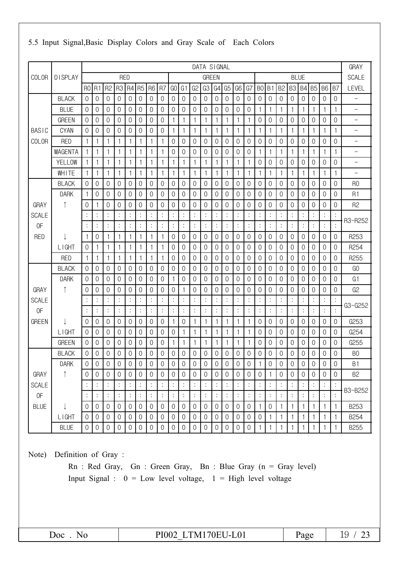|                | DATA SIGNAL    |                |                |                  |                     |                |                |                     | <b>GRAY</b>      |                |                     |                |                |                     |                |                |                     |                  |                |                  |                |                |                |                     |                |                          |
|----------------|----------------|----------------|----------------|------------------|---------------------|----------------|----------------|---------------------|------------------|----------------|---------------------|----------------|----------------|---------------------|----------------|----------------|---------------------|------------------|----------------|------------------|----------------|----------------|----------------|---------------------|----------------|--------------------------|
| <b>COLOR</b>   | <b>DISPLAY</b> |                |                |                  | <b>RED</b>          |                |                |                     |                  |                |                     |                | <b>GREEN</b>   |                     |                |                |                     |                  |                |                  |                | <b>BLUE</b>    |                |                     |                | <b>SCALE</b>             |
|                |                | R <sub>0</sub> | R1             | R <sub>2</sub>   | R3                  | R4             | R <sub>5</sub> | R <sub>6</sub>      | R7               | GO             | G <sub>1</sub>      | G <sub>2</sub> | G3             | G4                  | G <sub>5</sub> | G <sub>6</sub> | G7                  | B <sub>0</sub>   | B1             | B <sub>2</sub>   | B <sub>3</sub> | <b>B4</b>      | <b>B5</b>      | <b>B6</b>           | B7             | LEVEL                    |
|                | <b>BLACK</b>   | $\mathbf 0$    | 0              | 0                | $\mathbf 0$         | $\mathbf 0$    | $\overline{0}$ | $\mathbf 0$         | $\mathbf 0$      | $\mathbf 0$    | 0                   | $\mathbf 0$    | 0              | $\mathbf 0$         | $\mathbf 0$    | $\mathbf 0$    | 0                   | $\mathbf 0$      | $\mathbf 0$    | 0                | $\mathbf 0$    | $\mathbf 0$    | 0              | 0                   | $\mathbf 0$    | $\overline{\phantom{0}}$ |
|                | <b>BLUE</b>    | $\overline{0}$ | $\overline{0}$ | 0                | $\sqrt{0}$          | $\mathbf 0$    | $\theta$       | $\boldsymbol{0}$    | $\mathbf 0$      | 0              | 0                   | 0              | 0              | $\mathbf 0$         | $\mathbf 0$    | $\mathbf 0$    | 0                   | 1                | $\mathbf{1}$   | 1                | 1              | 1              | 1              | $\mathbf{1}$        | 1              | $\qquad \qquad -$        |
|                | <b>GREEN</b>   | $\Omega$       | $\mathbf 0$    | 0                | $\overline{0}$      | $\mathbf 0$    | $\Omega$       | 0                   | $\mathbf 0$      | 1              | 1                   | 1              | 1              | 1                   | 1              | 1              | 1                   | $\mathbf 0$      | 0              | 0                | 0              | 0              | 0              | 0                   | $\mathbf 0$    | $\qquad \qquad -$        |
| <b>BASIC</b>   | <b>CYAN</b>    | $\mathbf 0$    | $\mathbf 0$    | 0                | $\mathbf 0$         | $\mathbf 0$    | 0              | $\mathbf 0$         | 0                | 1              | 1                   | 1              | 1              | 1                   | 1              | 1              | 1                   | 1                | 1              |                  | $\mathbf{1}$   |                | 1              | 1                   | 1              | $\qquad \qquad -$        |
| <b>COLOR</b>   | <b>RED</b>     | 1              | 1              | 1                | 1                   | $\mathbf{1}$   | 1              | $\mathbf{1}$        | 1                | 0              | 0                   | 0              | 0              | $\mathbf 0$         | 0              | $\mathbf 0$    | 0                   | $\mathbf 0$      | $\mathbf 0$    | 0                | 0              | 0              | $\Omega$       | 0                   | $\mathbf 0$    | $\qquad \qquad -$        |
|                | <b>MAGENTA</b> | 1              | 1              | 1                | 1                   | $\overline{1}$ | 1              | 1                   | 1                | 0              | 0                   | 0              | 0              | $\mathbf 0$         | 0              | 0              | 0                   | 1                | $\mathbf{1}$   |                  | 1              |                | 1              | $\mathbf{1}$        | 1              | $\qquad \qquad -$        |
|                | <b>YELLOW</b>  |                | 1              | 1                | 1                   | $\mathbf{1}$   | 1              | 1                   | $\mathbf{1}$     | 1              | $\mathbf 1$         | 1              | 1              | 1                   | 1              | 1              | 1                   | $\mathbf 0$      | $\mathbf 0$    | 0                | $\mathbf 0$    | $\mathbf 0$    | 0              | $\mathbf 0$         | $\mathbf 0$    | $\equiv$                 |
|                | WHITE          | 1              | 1              | 1                | 1                   | -1             | 1              | 1                   | 1                | 1              | 1                   | 1              | 1              | 1                   | 1              | 1              | 1                   | 1                | 1              | 1                | $\mathbf{1}$   |                | 1              | $\mathbf{1}$        | 1              | $\overline{\phantom{0}}$ |
|                | <b>BLACK</b>   | 0              | 0              | 0                | $\overline{0}$      | $\mathbf 0$    | $\Omega$       | 0                   | 0                | 0              | 0                   | 0              | 0              | $\mathbf 0$         | 0              | $\overline{0}$ | 0                   | $\mathbf 0$      | 0              | 0                | $\mathbf 0$    | 0              | 0              | 0                   | 0              | R <sub>0</sub>           |
|                | <b>DARK</b>    | 1              | $\mathbf 0$    | $\Omega$         | $\mathbf 0$         | $\mathbf 0$    | 0              | $\mathbf 0$         | $\overline{0}$   | $\Omega$       | 0                   | $\overline{0}$ | 0              | $\mathbf 0$         | 0              | $\mathbf 0$    | 0                   | $\mathbf 0$      | $\mathbf{0}$   | 0                | $\mathbf 0$    | 0              | $\Omega$       | $\mathbf 0$         | 0              | R <sub>1</sub>           |
| GRAY           |                | 0              | 1              | 0                | $\mathbf 0$         | $\mathbf 0$    | 0              | 0                   | 0                | 0              | 0                   | 0              | 0              | $\mathbf 0$         | $\mathbf 0$    | $\mathbf 0$    | 0                   | $\mathbf 0$      | $\mathbf{0}$   | 0                | $\mathbf 0$    | $\mathbf 0$    | 0              | 0                   | $\mathbf 0$    | R <sub>2</sub>           |
| <b>SCALE</b>   |                |                | $\ddot{\cdot}$ |                  | $\vdots$            | $\ddot{\cdot}$ | $\vdots$       | $\vdots$            | $\vdots$         | $\ddot{\cdot}$ |                     | $\vdots$       | $\vdots$       |                     | $\ddot{\cdot}$ |                | $\vdots$            | $\ddot{\cdot}$   | $\vdots$       | $\vdots$         | $\vdots$       |                |                | $\vdots$            | $\vdots$       | R3~R252                  |
| 0F             |                |                | $\ddot{\cdot}$ | $\vdots$         | :                   | $\ddot{\cdot}$ | $\ddot{\cdot}$ | $\ddot{\cdot}$      | $\ddot{\cdot}$   | $\ddot{\cdot}$ | $\ddot{\cdot}$      | $\vdots$       | $\ddot{\cdot}$ |                     | $\vdots$       |                | $\ddot{\cdot}$      | $\ddot{\cdot}$   | $\ddot{\cdot}$ |                  | $\ddot{\cdot}$ | $\ddot{\cdot}$ | $\vdots$       | $\vdots$            | $\ddot{\cdot}$ |                          |
| <b>RED</b>     |                |                | 0              |                  | 1                   | 1              |                | 1                   |                  | 0              | 0                   | 0              | 0              | 0                   | $\mathbf 0$    | 0              | 0                   | $\mathbf 0$      | $\mathbf{0}$   | 0                | $\mathbf 0$    | $\mathbf 0$    | 0              | 0                   | $\mathbf 0$    | R253                     |
|                | <b>LIGHT</b>   | 0              | 1              | 1                | 1                   | $\mathbf{1}$   |                | 1                   | $\mathbf{1}$     | 0              | 0                   | $\mathbf 0$    | 0              | $\mathbf 0$         | $\overline{0}$ | $\mathbf 0$    | $\mathsf{O}\xspace$ | $\mathbf 0$      | $\mathbf{0}$   | $\mathbf 0$      | $\overline{0}$ | $\mathbf 0$    | 0              | $\mathbf 0$         | 0              | R254                     |
|                | <b>RED</b>     | $\mathbf{1}$   | 1              | 1                | 1                   | $\mathbf{1}$   | $\mathbf 1$    | 1                   | 1                | 0              | 0                   | 0              | 0              | $\mathbf 0$         | 0              | $\mathbf 0$    | 0                   | $\mathbf 0$      | 0              | 0                | $\mathbf 0$    | 0              | $\Omega$       | 0                   | 0              | R255                     |
|                | <b>BLACK</b>   | $\overline{0}$ | 0              | 0                | $\overline{0}$      | 0              | 0              | 0                   | 0                | 0              | 0                   | 0              | 0              | $\theta$            | $\mathbf 0$    | 0              | 0                   | $\mathbf 0$      | $\mathbf 0$    | 0                | 0              | 0              | 0              | 0                   | $\mathbf 0$    | G <sub>O</sub>           |
|                | <b>DARK</b>    | 0              | $\mathbf 0$    | 0                | $\mathbf 0$         | $\mathbf 0$    | 0              | $\mathsf{O}\xspace$ | $\mathbf 0$      | 1              | 0                   | 0              | 0              | $\mathbf 0$         | $\mathbf 0$    | $\mathbf 0$    | 0                   | $\mathbf 0$      | $\mathbf 0$    | 0                | $\mathbf 0$    | $\mathbf 0$    | 0              | 0                   | $\mathbf 0$    | G <sub>1</sub>           |
| <b>GRAY</b>    |                | 0              | $\Omega$       | 0                | $\mathbf 0$         | $\mathbf 0$    | 0              | $\mathbf 0$         | $\mathbf 0$      | 0              | $\mathbf 1$         | $\overline{0}$ | 0              | $\mathbf 0$         | $\overline{0}$ | 0              | 0                   | $\mathbf 0$      | $\mathbf{0}$   | 0                | $\mathbf 0$    | 0              | $\Omega$       | $\mathbf 0$         | 0              | G <sub>2</sub>           |
| <b>SCALE</b>   |                |                | $\ddot{\cdot}$ | $\vdots$         |                     | $\ddot{\cdot}$ | $\ddot{\cdot}$ | :                   | $\ddot{\cdot}$   | $\vdots$       |                     | $\vdots$       | $\ddot{\cdot}$ |                     | $\ddot{\cdot}$ |                |                     | $\ddot{\cdot}$   | $\ddot{\cdot}$ |                  | $\vdots$       | $\cdot$        |                | $\ddot{\cdot}$      |                | G3~G252                  |
| 0F             |                |                | $\ddot{\cdot}$ | $\ddot{\cdot}$   | $\ddot{\cdot}$      | $\ddot{\cdot}$ | $\vdots$       | :                   | $\ddot{\cdot}$   | $\ddot{\cdot}$ |                     | $\vdots$       | $\ddot{\cdot}$ | :                   | $\ddot{\cdot}$ |                | $\ddot{\cdot}$      | $\vdots$         | $\vdots$       |                  | $\ddot{\cdot}$ | $\ddot{\cdot}$ | $\vdots$       | $\vdots$            | $\colon$       |                          |
| <b>GREEN</b>   |                | 0              | 0              | 0                | $\sqrt{0}$          | $\mathbf 0$    | 0              | 0                   | $\mathbf 0$      | 1              | 0                   | 1              | 1              | 1                   | 1              | 1              | 1                   | $\mathbf 0$      | 0              | 0                | $\mathbf{0}$   | 0              | 0              | 0                   | $\mathbf 0$    | G253                     |
|                | <b>LIGHT</b>   | 0              | $\mathbf 0$    | 0                | $\sqrt{0}$          | $\mathbf 0$    | 0              | 0                   | 0                | $\Omega$       |                     | 1              |                | 1                   | 1              | 1              | 1                   | $\Omega$         | 0              | 0                | 0              | 0              | 0              | 0                   | 0              | G254                     |
|                | <b>GREEN</b>   | $\overline{0}$ | $\mathbf 0$    | 0                | $\mathbf 0$         | $\mathbf 0$    | 0              | 0                   | 0                | 1              | -1                  | 1              | 1              | 1                   | 1              | 1              | 1                   | 0                | $\mathbf 0$    | 0                | $\mathbf 0$    | $\mathbf 0$    | 0              | 0                   | $\mathbf 0$    | G255                     |
|                | <b>BLACK</b>   | 0              | $\mathbf 0$    | 0                | $\mathbf 0$         | $\mathbf 0$    | 0              | $\mathsf{O}\xspace$ | $\mathbf 0$      | $\mathbf 0$    | 0                   | 0              | 0              | $\mathbf 0$         | $\mathbf 0$    | $\theta$       | $\mathsf{O}\xspace$ | $\mathbf 0$      | $\mathbf 0$    | 0                | $\mathbf 0$    | 0              | $\mathbf 0$    | $\mathsf{O}\xspace$ | $\mathbf 0$    | B <sub>0</sub>           |
|                | <b>DARK</b>    | 0              | $\mathbf 0$    | 0                | $\mathsf{O}\xspace$ | $\mathbf 0$    | 0              | 0                   | 0                | 0              | 0                   | $\mathbf 0$    | 0              | 0                   | $\mathbf 0$    | 0              | $\boldsymbol{0}$    | 1                | 0              | 0                | 0              | 0              | 0              | 0                   | $\mathbf 0$    | B1                       |
| GRAY           |                | $\mathbf 0$    | $\mathbf 0$    | $\boldsymbol{0}$ | $\mathbf 0$         | $\mathbf 0$    | $\mathbf 0$    | $\mathbf 0$         | $\mathbf 0$      | $\mathbf 0$    | $\boldsymbol{0}$    | $\mathbf 0$    | $\mathbf 0$    | $\mathbf 0$         | $\mathbf 0$    | $\mathbf 0$    | $\mathbf 0$         | $\boldsymbol{0}$ | $\mathbf 1$    | $\boldsymbol{0}$ | $\mathbf 0$    | $\mathbf 0$    | $\mathbf 0$    | 0                   | $\mathbf 0$    | <b>B2</b>                |
| <b>SCALE</b>   |                | $\ddot{\cdot}$ | $\ddot{\cdot}$ | $\vdots$         | $\ddot{\cdot}$      | $\ddot{\cdot}$ | $\ddot{\cdot}$ | $\ddot{\cdot}$      | $\ddot{\cdot}$   | $\ddot{\cdot}$ | $\vdots$            | $\vdots$       | $\ddot{\cdot}$ | $\vdots$            | $\ddot{\cdot}$ | $\ddot{\cdot}$ | $\ddot{\cdot}$      | $\ddot{\cdot}$   | $\vdots$       | $\vdots$         | $\ddot{\cdot}$ | $\ddot{\cdot}$ | $\ddot{\cdot}$ | $\vdots$            | $\ddot{\cdot}$ | B3~B252                  |
| 0 <sup>F</sup> |                |                | $\ddot{\cdot}$ | :                | $\ddot{\cdot}$      | $\ddot{\cdot}$ | $\ddot{\cdot}$ | $\vdots$            | $\ddot{\cdot}$   | :              | $\ddot{\cdot}$      | $\vdots$       | $\ddot{\cdot}$ | $\ddot{\cdot}$      | $\ddot{\cdot}$ | $\ddot{\cdot}$ | $\ddot{\cdot}$      | $\ddot{\cdot}$   | $\ddot{\cdot}$ | $\ddot{\cdot}$   | $\ddot{\cdot}$ | $\vdots$       | :              | $\ddot{\cdot}$      |                |                          |
| <b>BLUE</b>    | ↓              | $\mathbf 0$    | $\mathbf 0$    | $\mathbf 0$      | $\mathbf 0$         | $\mathbf 0$    | 0              | $\mathsf{O}\xspace$ | $\mathbf 0$      | $\mathbf 0$    | $\mathsf{O}\xspace$ | $\mathbf 0$    | 0              | $\mathbf 0$         | $\mathbf 0$    | $\mathbf 0$    | 0                   | 1                | $\mathbf 0$    |                  | $\mathbf{1}$   |                | 1              | $\mathbf{1}$        | 1              | B253                     |
|                | <b>LIGHT</b>   | $\mathbf 0$    | $\mathbf 0$    | 0                | $\mathsf{O}\xspace$ | $\mathbf 0$    | 0              | $\mathbf 0$         | $\mathbf 0$      | 0              | $\boldsymbol{0}$    | $\mathbf 0$    | 0              | $\mathsf{O}\xspace$ | $\mathbf 0$    | $\mathbf 0$    | $\boldsymbol{0}$    | $\boldsymbol{0}$ | 1              |                  | 1              |                | 1              | $\mathbf{1}$        | 1              | B254                     |
|                | <b>BLUE</b>    | $\mathbf 0$    | $\mathbf 0$    | 0                | $\mathbf 0$         | $\mathbf 0$    | 0              | $\boldsymbol{0}$    | $\boldsymbol{0}$ | 0              | 0                   | $\mathbf 0$    | 0              | $\mathbf 0$         | $\mathbf 0$    | 0              | $\boldsymbol{0}$    | 1                | 1              |                  | 1              |                |                | 1                   | $\mathbf{1}$   | B255                     |

## 5.5 Input Signal, Basic Display Colors and Gray Scale of Each Colors

Note) Definition of Gray:

Rn : Red Gray, Gn : Green Gray, Bn : Blue Gray (n = Gray level) Input Signal :  $0 = Low level voltage$ ,  $1 = High level voltage$ 

PI002 LTM170EU-L01

Page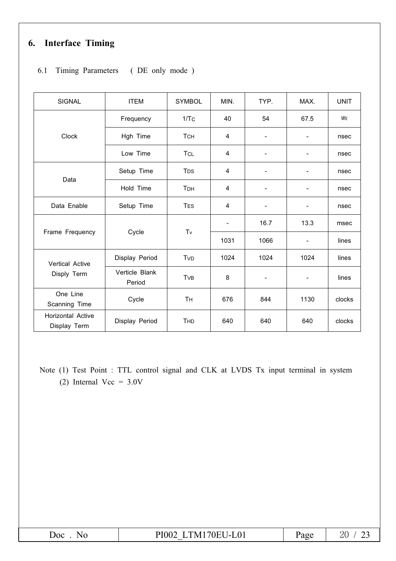# 6. Interface Timing

#### 6.1 Timing Parameters (DE only mode)

| <b>SIGNAL</b>                     | <b>ITEM</b>              | <b>SYMBOL</b>    | MIN.                     | TYP.                     | MAX.                         | <b>UNIT</b> |
|-----------------------------------|--------------------------|------------------|--------------------------|--------------------------|------------------------------|-------------|
|                                   | Frequency                | 1/T <sub>C</sub> | 40                       | 54                       | 67.5                         | MHz         |
| Clock                             | Hgh Time                 | <b>TCH</b>       | $\overline{\mathbf{4}}$  | $\overline{\phantom{0}}$ | $\qquad \qquad \blacksquare$ | nsec        |
|                                   | Low Time                 | TCL              | 4                        | $\overline{\phantom{0}}$ | ۰                            | nsec        |
|                                   | Setup Time               | T <sub>DS</sub>  | $\overline{\mathbf{4}}$  | $\overline{\phantom{a}}$ | $\overline{\phantom{a}}$     | nsec        |
| Data                              | Hold Time                | T <sub>DH</sub>  | 4                        | -                        | $\overline{\phantom{a}}$     | nsec        |
| Data Enable                       | Setup Time               | <b>TES</b>       | 4                        | -                        | -                            | nsec        |
|                                   |                          | Tv               | $\overline{\phantom{a}}$ | 16.7                     | 13.3                         | msec        |
| Frame Frequency                   | Cycle                    |                  | 1031                     | 1066                     | $\overline{\phantom{a}}$     | lines       |
| Vertical Active                   | Display Period           | TvD              | 1024                     | 1024                     | 1024                         | lines       |
| Disply Term                       | Verticle Blank<br>Period | TvB              | 8                        |                          | -                            | lines       |
| One Line<br>Scanning Time         | Cycle                    | Tн               | 676                      | 844                      | 1130                         | clocks      |
| Horizontal Active<br>Display Term | Display Period           | THD              | 640                      | 640                      | 640                          | clocks      |

Note (1) Test Point : TTL control signal and CLK at LVDS Tx input terminal in system (2) Internal Vcc =  $3.0V$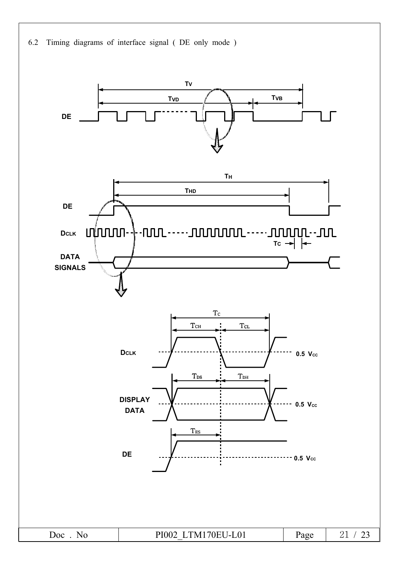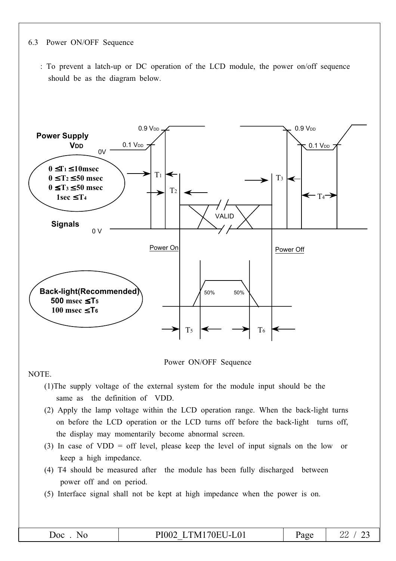#### Power ON/OFF Sequence 6.3

: To prevent a latch-up or DC operation of the LCD module, the power on/off sequence should be as the diagram below.



Power ON/OFF Sequence

NOTE.

- (1) The supply voltage of the external system for the module input should be the same as the definition of VDD.
- (2) Apply the lamp voltage within the LCD operation range. When the back-light turns on before the LCD operation or the LCD turns off before the back-light turns off, the display may momentarily become abnormal screen.
- (3) In case of VDD = off level, please keep the level of input signals on the low or keep a high impedance.
- (4) T4 should be measured after the module has been fully discharged between power off and on period.
- (5) Interface signal shall not be kept at high impedance when the power is on.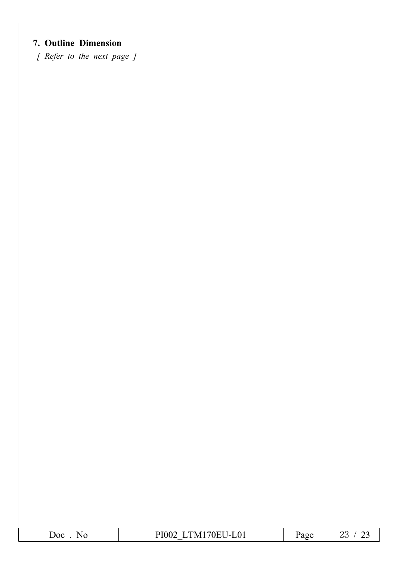# 7. Outline Dimension

[ Refer to the next page ]